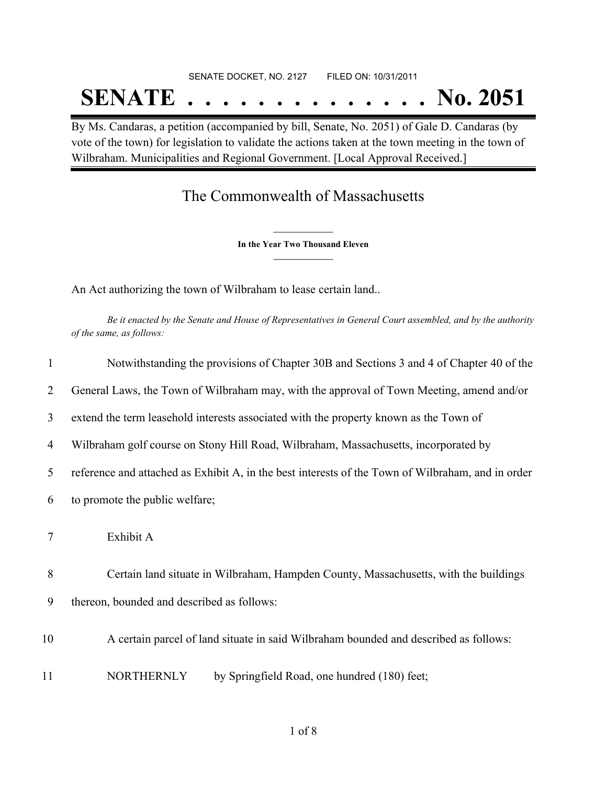## SENATE DOCKET, NO. 2127 FILED ON: 10/31/2011 **SENATE . . . . . . . . . . . . . . No. 2051**

By Ms. Candaras, a petition (accompanied by bill, Senate, No. 2051) of Gale D. Candaras (by vote of the town) for legislation to validate the actions taken at the town meeting in the town of Wilbraham. Municipalities and Regional Government. [Local Approval Received.]

## The Commonwealth of Massachusetts

**\_\_\_\_\_\_\_\_\_\_\_\_\_\_\_ In the Year Two Thousand Eleven \_\_\_\_\_\_\_\_\_\_\_\_\_\_\_**

An Act authorizing the town of Wilbraham to lease certain land..

Be it enacted by the Senate and House of Representatives in General Court assembled, and by the authority *of the same, as follows:*

| 1  | Notwithstanding the provisions of Chapter 30B and Sections 3 and 4 of Chapter 40 of the           |  |
|----|---------------------------------------------------------------------------------------------------|--|
| 2  | General Laws, the Town of Wilbraham may, with the approval of Town Meeting, amend and/or          |  |
| 3  | extend the term leasehold interests associated with the property known as the Town of             |  |
| 4  | Wilbraham golf course on Stony Hill Road, Wilbraham, Massachusetts, incorporated by               |  |
| 5  | reference and attached as Exhibit A, in the best interests of the Town of Wilbraham, and in order |  |
| 6  | to promote the public welfare;                                                                    |  |
| 7  | Exhibit A                                                                                         |  |
| 8  | Certain land situate in Wilbraham, Hampden County, Massachusetts, with the buildings              |  |
| 9  | thereon, bounded and described as follows:                                                        |  |
| 10 | A certain parcel of land situate in said Wilbraham bounded and described as follows:              |  |
| 11 | <b>NORTHERNLY</b><br>by Springfield Road, one hundred (180) feet;                                 |  |
|    |                                                                                                   |  |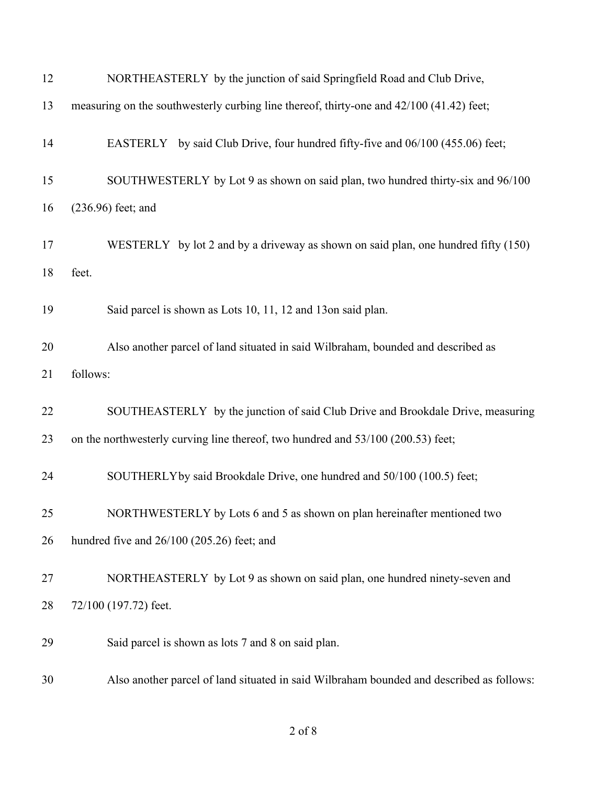| 12 | NORTHEASTERLY by the junction of said Springfield Road and Club Drive,                   |  |  |
|----|------------------------------------------------------------------------------------------|--|--|
| 13 | measuring on the southwesterly curbing line thereof, thirty-one and 42/100 (41.42) feet; |  |  |
| 14 | EASTERLY by said Club Drive, four hundred fifty-five and 06/100 (455.06) feet;           |  |  |
| 15 | SOUTHWESTERLY by Lot 9 as shown on said plan, two hundred thirty-six and 96/100          |  |  |
| 16 | $(236.96)$ feet; and                                                                     |  |  |
| 17 | WESTERLY by lot 2 and by a driveway as shown on said plan, one hundred fifty $(150)$     |  |  |
| 18 | feet.                                                                                    |  |  |
| 19 | Said parcel is shown as Lots 10, 11, 12 and 13on said plan.                              |  |  |
| 20 | Also another parcel of land situated in said Wilbraham, bounded and described as         |  |  |
| 21 | follows:                                                                                 |  |  |
| 22 | SOUTHEASTERLY by the junction of said Club Drive and Brookdale Drive, measuring          |  |  |
| 23 | on the northwesterly curving line thereof, two hundred and 53/100 (200.53) feet;         |  |  |
| 24 | SOUTHERLY by said Brookdale Drive, one hundred and 50/100 (100.5) feet;                  |  |  |
| 25 | NORTHWESTERLY by Lots 6 and 5 as shown on plan hereinafter mentioned two                 |  |  |
| 26 | hundred five and 26/100 (205.26) feet; and                                               |  |  |
| 27 | NORTHEASTERLY by Lot 9 as shown on said plan, one hundred ninety-seven and               |  |  |
| 28 | 72/100 (197.72) feet.                                                                    |  |  |
| 29 | Said parcel is shown as lots 7 and 8 on said plan.                                       |  |  |
| 30 | Also another parcel of land situated in said Wilbraham bounded and described as follows: |  |  |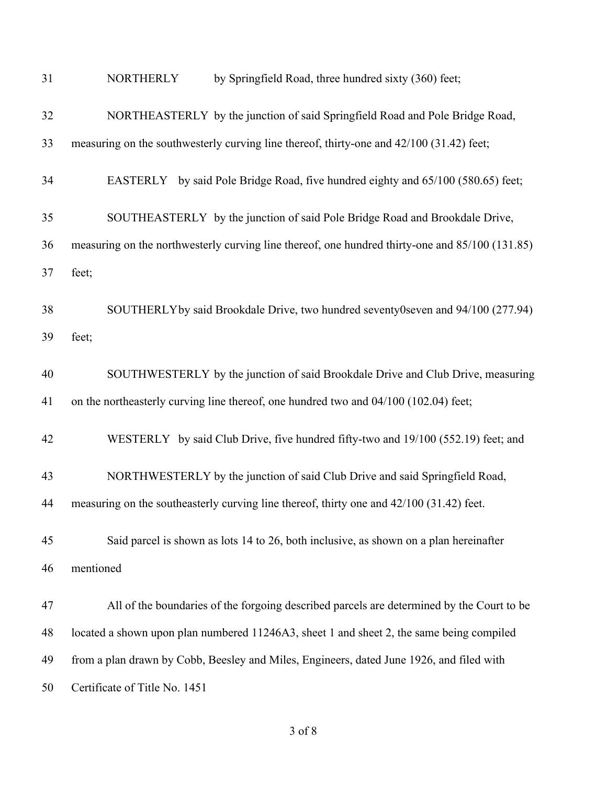| 31 | by Springfield Road, three hundred sixty (360) feet;<br><b>NORTHERLY</b>                        |  |  |
|----|-------------------------------------------------------------------------------------------------|--|--|
| 32 | NORTHEASTERLY by the junction of said Springfield Road and Pole Bridge Road,                    |  |  |
| 33 | measuring on the southwesterly curving line thereof, thirty-one and 42/100 (31.42) feet;        |  |  |
| 34 | EASTERLY by said Pole Bridge Road, five hundred eighty and 65/100 (580.65) feet;                |  |  |
| 35 | SOUTHEASTERLY by the junction of said Pole Bridge Road and Brookdale Drive,                     |  |  |
| 36 | measuring on the northwesterly curving line thereof, one hundred thirty-one and 85/100 (131.85) |  |  |
| 37 | feet;                                                                                           |  |  |
| 38 | SOUTHERLY by said Brookdale Drive, two hundred seventy0seven and 94/100 (277.94)                |  |  |
| 39 | feet;                                                                                           |  |  |
| 40 | SOUTHWESTERLY by the junction of said Brookdale Drive and Club Drive, measuring                 |  |  |
| 41 | on the northeasterly curving line thereof, one hundred two and 04/100 (102.04) feet;            |  |  |
| 42 | WESTERLY by said Club Drive, five hundred fifty-two and 19/100 (552.19) feet; and               |  |  |
| 43 | NORTHWESTERLY by the junction of said Club Drive and said Springfield Road,                     |  |  |
| 44 | measuring on the southeasterly curving line thereof, thirty one and 42/100 (31.42) feet.        |  |  |
| 45 | Said parcel is shown as lots 14 to 26, both inclusive, as shown on a plan hereinafter           |  |  |
| 46 | mentioned                                                                                       |  |  |
| 47 | All of the boundaries of the forgoing described parcels are determined by the Court to be       |  |  |
| 48 | located a shown upon plan numbered 11246A3, sheet 1 and sheet 2, the same being compiled        |  |  |
| 49 | from a plan drawn by Cobb, Beesley and Miles, Engineers, dated June 1926, and filed with        |  |  |
| 50 | Certificate of Title No. 1451                                                                   |  |  |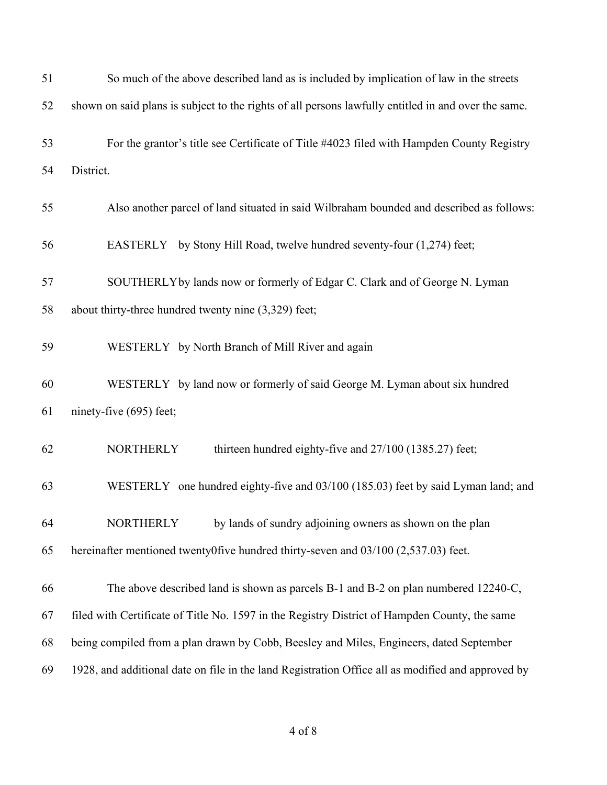| 51 | So much of the above described land as is included by implication of law in the streets             |  |
|----|-----------------------------------------------------------------------------------------------------|--|
| 52 | shown on said plans is subject to the rights of all persons lawfully entitled in and over the same. |  |
| 53 | For the grantor's title see Certificate of Title #4023 filed with Hampden County Registry           |  |
| 54 | District.                                                                                           |  |
| 55 | Also another parcel of land situated in said Wilbraham bounded and described as follows:            |  |
| 56 | EASTERLY by Stony Hill Road, twelve hundred seventy-four (1,274) feet;                              |  |
| 57 | SOUTHERLYby lands now or formerly of Edgar C. Clark and of George N. Lyman                          |  |
| 58 | about thirty-three hundred twenty nine (3,329) feet;                                                |  |
| 59 | WESTERLY by North Branch of Mill River and again                                                    |  |
| 60 | WESTERLY by land now or formerly of said George M. Lyman about six hundred                          |  |
| 61 | ninety-five (695) feet;                                                                             |  |
| 62 | <b>NORTHERLY</b><br>thirteen hundred eighty-five and 27/100 (1385.27) feet;                         |  |
| 63 | WESTERLY one hundred eighty-five and 03/100 (185.03) feet by said Lyman land; and                   |  |
| 64 | by lands of sundry adjoining owners as shown on the plan<br><b>NORTHERLY</b>                        |  |
| 65 | hereinafter mentioned twenty0five hundred thirty-seven and $03/100$ (2,537.03) feet.                |  |
| 66 | The above described land is shown as parcels B-1 and B-2 on plan numbered 12240-C,                  |  |
| 67 | filed with Certificate of Title No. 1597 in the Registry District of Hampden County, the same       |  |
| 68 | being compiled from a plan drawn by Cobb, Beesley and Miles, Engineers, dated September             |  |
| 69 | 1928, and additional date on file in the land Registration Office all as modified and approved by   |  |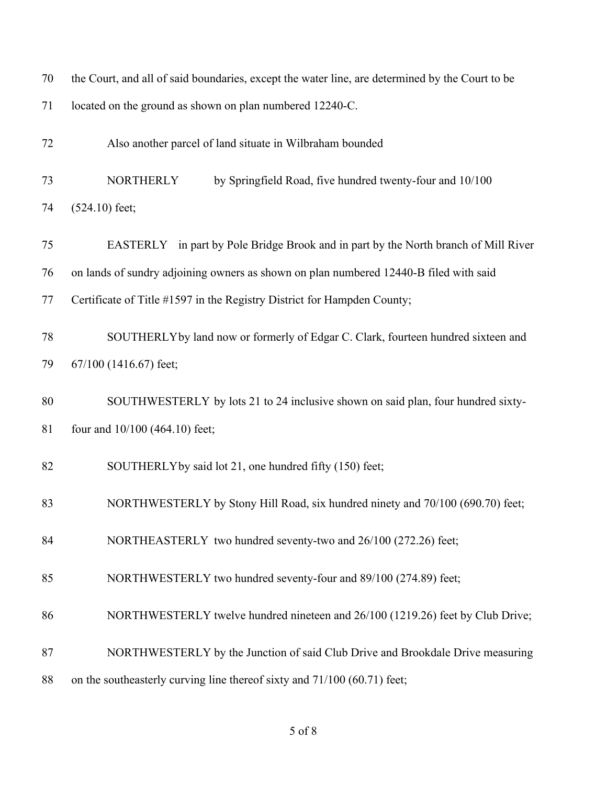| 70 | the Court, and all of said boundaries, except the water line, are determined by the Court to be |  |  |
|----|-------------------------------------------------------------------------------------------------|--|--|
| 71 | located on the ground as shown on plan numbered 12240-C.                                        |  |  |
| 72 | Also another parcel of land situate in Wilbraham bounded                                        |  |  |
| 73 | <b>NORTHERLY</b><br>by Springfield Road, five hundred twenty-four and 10/100                    |  |  |
| 74 | $(524.10)$ feet;                                                                                |  |  |
| 75 | EASTERLY in part by Pole Bridge Brook and in part by the North branch of Mill River             |  |  |
| 76 | on lands of sundry adjoining owners as shown on plan numbered 12440-B filed with said           |  |  |
| 77 | Certificate of Title #1597 in the Registry District for Hampden County;                         |  |  |
| 78 | SOUTHERLYby land now or formerly of Edgar C. Clark, fourteen hundred sixteen and                |  |  |
| 79 | 67/100 (1416.67) feet;                                                                          |  |  |
| 80 | SOUTHWESTERLY by lots 21 to 24 inclusive shown on said plan, four hundred sixty-                |  |  |
| 81 | four and 10/100 (464.10) feet;                                                                  |  |  |
| 82 | SOUTHERLY by said lot 21, one hundred fifty (150) feet;                                         |  |  |
| 83 | NORTHWESTERLY by Stony Hill Road, six hundred ninety and 70/100 (690.70) feet;                  |  |  |
| 84 | NORTHEASTERLY two hundred seventy-two and 26/100 (272.26) feet;                                 |  |  |
| 85 | NORTHWESTERLY two hundred seventy-four and 89/100 (274.89) feet;                                |  |  |
| 86 | NORTHWESTERLY twelve hundred nineteen and 26/100 (1219.26) feet by Club Drive;                  |  |  |
| 87 | NORTHWESTERLY by the Junction of said Club Drive and Brookdale Drive measuring                  |  |  |
| 88 | on the southeasterly curving line thereof sixty and 71/100 (60.71) feet;                        |  |  |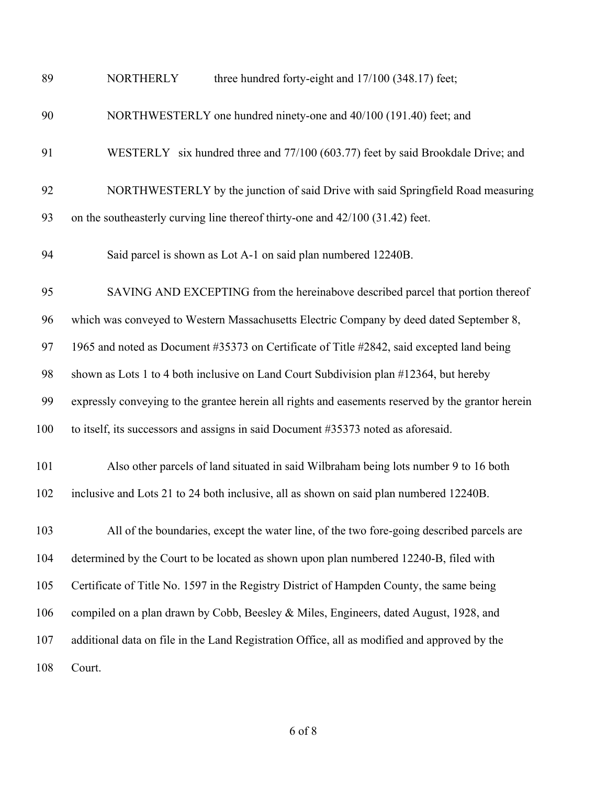| 89  | three hundred forty-eight and 17/100 (348.17) feet;<br><b>NORTHERLY</b>                           |
|-----|---------------------------------------------------------------------------------------------------|
| 90  | NORTHWESTERLY one hundred ninety-one and 40/100 (191.40) feet; and                                |
| 91  | WESTERLY six hundred three and 77/100 (603.77) feet by said Brookdale Drive; and                  |
| 92  | NORTHWESTERLY by the junction of said Drive with said Springfield Road measuring                  |
| 93  | on the southeasterly curving line thereof thirty-one and $42/100$ (31.42) feet.                   |
| 94  | Said parcel is shown as Lot A-1 on said plan numbered 12240B.                                     |
| 95  | SAVING AND EXCEPTING from the hereinabove described parcel that portion thereof                   |
| 96  | which was conveyed to Western Massachusetts Electric Company by deed dated September 8,           |
| 97  | 1965 and noted as Document #35373 on Certificate of Title #2842, said excepted land being         |
| 98  | shown as Lots 1 to 4 both inclusive on Land Court Subdivision plan #12364, but hereby             |
| 99  | expressly conveying to the grantee herein all rights and easements reserved by the grantor herein |
| 100 | to itself, its successors and assigns in said Document #35373 noted as aforesaid.                 |
| 101 | Also other parcels of land situated in said Wilbraham being lots number 9 to 16 both              |
| 102 | inclusive and Lots 21 to 24 both inclusive, all as shown on said plan numbered 12240B.            |
| 103 | All of the boundaries, except the water line, of the two fore-going described parcels are         |
| 104 | determined by the Court to be located as shown upon plan numbered 12240-B, filed with             |
| 105 | Certificate of Title No. 1597 in the Registry District of Hampden County, the same being          |
| 106 | compiled on a plan drawn by Cobb, Beesley & Miles, Engineers, dated August, 1928, and             |
| 107 | additional data on file in the Land Registration Office, all as modified and approved by the      |
| 108 | Court.                                                                                            |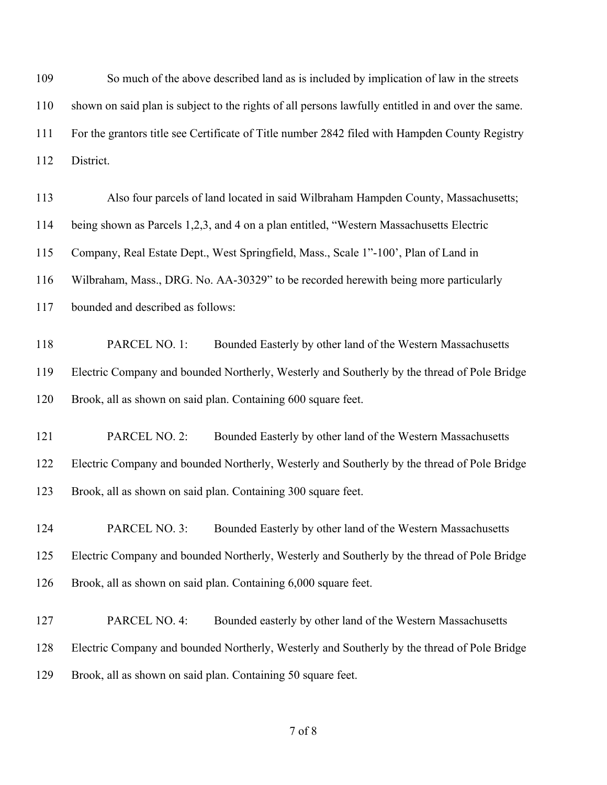So much of the above described land as is included by implication of law in the streets shown on said plan is subject to the rights of all persons lawfully entitled in and over the same. For the grantors title see Certificate of Title number 2842 filed with Hampden County Registry District.

| 113 | Also four parcels of land located in said Wilbraham Hampden County, Massachusetts;          |  |  |  |
|-----|---------------------------------------------------------------------------------------------|--|--|--|
| 114 | being shown as Parcels 1,2,3, and 4 on a plan entitled, "Western Massachusetts Electric     |  |  |  |
| 115 | Company, Real Estate Dept., West Springfield, Mass., Scale 1"-100', Plan of Land in         |  |  |  |
| 116 | Wilbraham, Mass., DRG. No. AA-30329" to be recorded herewith being more particularly        |  |  |  |
| 117 | bounded and described as follows:                                                           |  |  |  |
|     |                                                                                             |  |  |  |
| 118 | PARCEL NO. 1:<br>Bounded Easterly by other land of the Western Massachusetts                |  |  |  |
| 119 | Electric Company and bounded Northerly, Westerly and Southerly by the thread of Pole Bridge |  |  |  |
| 120 | Brook, all as shown on said plan. Containing 600 square feet.                               |  |  |  |
|     |                                                                                             |  |  |  |
| 121 | PARCEL NO. 2:<br>Bounded Easterly by other land of the Western Massachusetts                |  |  |  |
| 122 | Electric Company and bounded Northerly, Westerly and Southerly by the thread of Pole Bridge |  |  |  |

Brook, all as shown on said plan. Containing 300 square feet.

 PARCEL NO. 3: Bounded Easterly by other land of the Western Massachusetts Electric Company and bounded Northerly, Westerly and Southerly by the thread of Pole Bridge Brook, all as shown on said plan. Containing 6,000 square feet.

 PARCEL NO. 4: Bounded easterly by other land of the Western Massachusetts Electric Company and bounded Northerly, Westerly and Southerly by the thread of Pole Bridge Brook, all as shown on said plan. Containing 50 square feet.